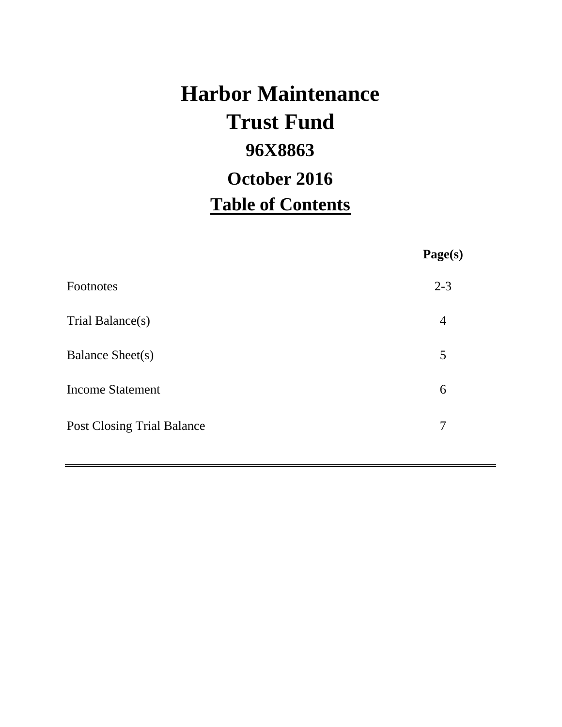# **Harbor Maintenance 96X8863 Table of Contents Trust Fund October 2016**

**Page(s)**

| Footnotes                         | $2 - 3$ |
|-----------------------------------|---------|
| Trial Balance(s)                  | 4       |
| Balance Sheet(s)                  | 5       |
| <b>Income Statement</b>           | 6       |
| <b>Post Closing Trial Balance</b> | 7       |
|                                   |         |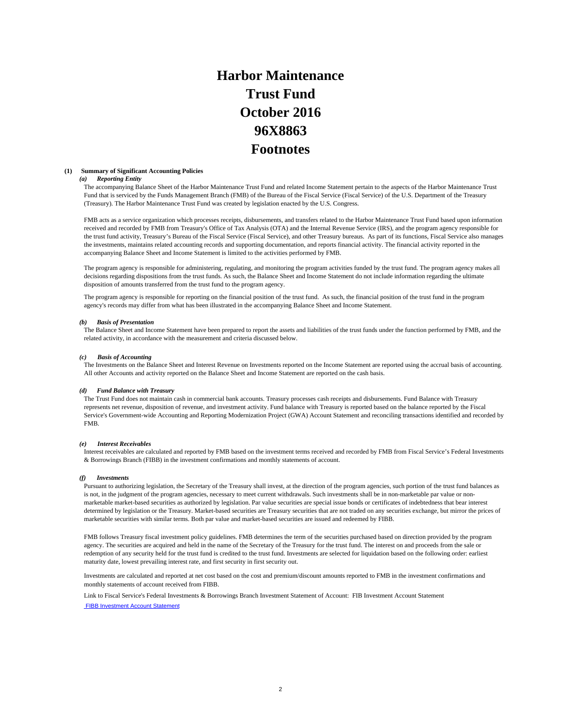## **Harbor Maintenance Trust Fund 96X8863 Footnotes October 2016**

#### **(1) Summary of Significant Accounting Policies**

#### *(a) Reporting Entity*

The accompanying Balance Sheet of the Harbor Maintenance Trust Fund and related Income Statement pertain to the aspects of the Harbor Maintenance Trust Fund that is serviced by the Funds Management Branch (FMB) of the Bureau of the Fiscal Service (Fiscal Service) of the U.S. Department of the Treasury (Treasury). The Harbor Maintenance Trust Fund was created by legislation enacted by the U.S. Congress.

FMB acts as a service organization which processes receipts, disbursements, and transfers related to the Harbor Maintenance Trust Fund based upon information received and recorded by FMB from Treasury's Office of Tax Analysis (OTA) and the Internal Revenue Service (IRS), and the program agency responsible for the trust fund activity, Treasury's Bureau of the Fiscal Service (Fiscal Service), and other Treasury bureaus. As part of its functions, Fiscal Service also manages the investments, maintains related accounting records and supporting documentation, and reports financial activity. The financial activity reported in the accompanying Balance Sheet and Income Statement is limited to the activities performed by FMB.

The program agency is responsible for administering, regulating, and monitoring the program activities funded by the trust fund. The program agency makes all decisions regarding dispositions from the trust funds. As such, the Balance Sheet and Income Statement do not include information regarding the ultimate disposition of amounts transferred from the trust fund to the program agency.

The program agency is responsible for reporting on the financial position of the trust fund. As such, the financial position of the trust fund in the program agency's records may differ from what has been illustrated in the accompanying Balance Sheet and Income Statement.

#### *(b) Basis of Presentation*

The Balance Sheet and Income Statement have been prepared to report the assets and liabilities of the trust funds under the function performed by FMB, and the related activity, in accordance with the measurement and criteria discussed below.

#### *(c) Basis of Accounting*

The Investments on the Balance Sheet and Interest Revenue on Investments reported on the Income Statement are reported using the accrual basis of accounting. All other Accounts and activity reported on the Balance Sheet and Income Statement are reported on the cash basis.

#### *(d) Fund Balance with Treasury*

The Trust Fund does not maintain cash in commercial bank accounts. Treasury processes cash receipts and disbursements. Fund Balance with Treasury represents net revenue, disposition of revenue, and investment activity. Fund balance with Treasury is reported based on the balance reported by the Fiscal Service's Government-wide Accounting and Reporting Modernization Project (GWA) Account Statement and reconciling transactions identified and recorded by FMB.

#### *(e) Interest Receivables*

Interest receivables are calculated and reported by FMB based on the investment terms received and recorded by FMB from Fiscal Service's Federal Investments & Borrowings Branch (FIBB) in the investment confirmations and monthly statements of account.

#### *(f) Investments*

Pursuant to authorizing legislation, the Secretary of the Treasury shall invest, at the direction of the program agencies, such portion of the trust fund balances as is not, in the judgment of the program agencies, necessary to meet current withdrawals. Such investments shall be in non-marketable par value or nonmarketable market-based securities as authorized by legislation. Par value securities are special issue bonds or certificates of indebtedness that bear interest determined by legislation or the Treasury. Market-based securities are Treasury securities that are not traded on any securities exchange, but mirror the prices of marketable securities with similar terms. Both par value and market-based securities are issued and redeemed by FIBB.

FMB follows Treasury fiscal investment policy guidelines. FMB determines the term of the securities purchased based on direction provided by the program agency. The securities are acquired and held in the name of the Secretary of the Treasury for the trust fund. The interest on and proceeds from the sale or redemption of any security held for the trust fund is credited to the trust fund. Investments are selected for liquidation based on the following order: earliest maturity date, lowest prevailing interest rate, and first security in first security out.

Investments are calculated and reported at net cost based on the cost and premium/discount amounts reported to FMB in the investment confirmations and monthly statements of account received from FIBB.

Link to Fiscal Service's Federal Investments & Borrowings Branch Investment Statement of Account: FIB Investment Account Statement FIBB Investment Account Statement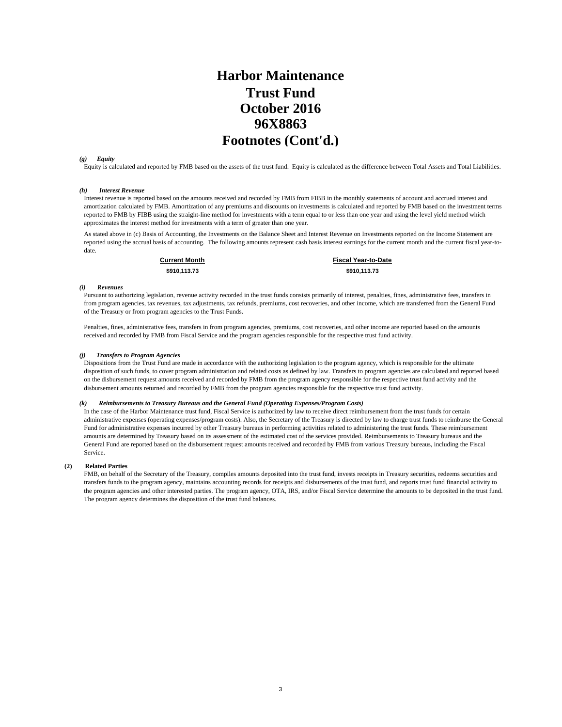### **October 2016 Harbor Maintenance Trust Fund 96X8863 Footnotes (Cont'd.)**

#### *(g) Equity*

Equity is calculated and reported by FMB based on the assets of the trust fund. Equity is calculated as the difference between Total Assets and Total Liabilities.

#### *(h) Interest Revenue*

Interest revenue is reported based on the amounts received and recorded by FMB from FIBB in the monthly statements of account and accrued interest and amortization calculated by FMB. Amortization of any premiums and discounts on investments is calculated and reported by FMB based on the investment terms reported to FMB by FIBB using the straight-line method for investments with a term equal to or less than one year and using the level yield method which approximates the interest method for investments with a term of greater than one year.

As stated above in (c) Basis of Accounting, the Investments on the Balance Sheet and Interest Revenue on Investments reported on the Income Statement are reported using the accrual basis of accounting. The following amounts represent cash basis interest earnings for the current month and the current fiscal year-todate.

**\$910,113.73 \$910,113.73 Current Month Fiscal Year-to-Date**

#### *(i) Revenues*

Pursuant to authorizing legislation, revenue activity recorded in the trust funds consists primarily of interest, penalties, fines, administrative fees, transfers in from program agencies, tax revenues, tax adjustments, tax refunds, premiums, cost recoveries, and other income, which are transferred from the General Fund of the Treasury or from program agencies to the Trust Funds.

Penalties, fines, administrative fees, transfers in from program agencies, premiums, cost recoveries, and other income are reported based on the amounts received and recorded by FMB from Fiscal Service and the program agencies responsible for the respective trust fund activity.

#### *(j) Transfers to Program Agencies*

Dispositions from the Trust Fund are made in accordance with the authorizing legislation to the program agency, which is responsible for the ultimate disposition of such funds, to cover program administration and related costs as defined by law. Transfers to program agencies are calculated and reported based on the disbursement request amounts received and recorded by FMB from the program agency responsible for the respective trust fund activity and the disbursement amounts returned and recorded by FMB from the program agencies responsible for the respective trust fund activity.

#### *(k) Reimbursements to Treasury Bureaus and the General Fund (Operating Expenses/Program Costs)*

In the case of the Harbor Maintenance trust fund, Fiscal Service is authorized by law to receive direct reimbursement from the trust funds for certain administrative expenses (operating expenses/program costs). Also, the Secretary of the Treasury is directed by law to charge trust funds to reimburse the General Fund for administrative expenses incurred by other Treasury bureaus in performing activities related to administering the trust funds. These reimbursement amounts are determined by Treasury based on its assessment of the estimated cost of the services provided. Reimbursements to Treasury bureaus and the General Fund are reported based on the disbursement request amounts received and recorded by FMB from various Treasury bureaus, including the Fiscal Service.

#### **(2) Related Parties**

FMB, on behalf of the Secretary of the Treasury, compiles amounts deposited into the trust fund, invests receipts in Treasury securities, redeems securities and transfers funds to the program agency, maintains accounting records for receipts and disbursements of the trust fund, and reports trust fund financial activity to the program agencies and other interested parties. The program agency, OTA, IRS, and/or Fiscal Service determine the amounts to be deposited in the trust fund. The program agency determines the disposition of the trust fund balances.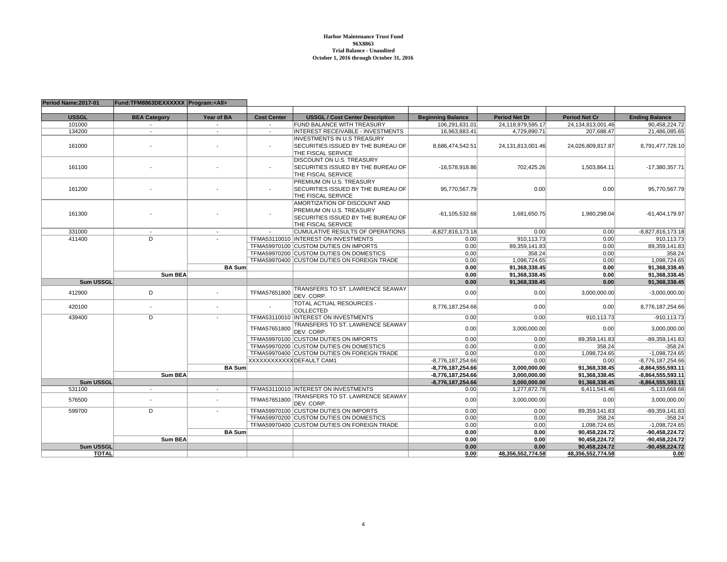#### **Harbor Maintenance Trust Fund 96X8863 Trial Balance - UnauditedOctober 1, 2016 through October 31, 2016**

| Period Name: 2017-01 | Fund:TFM8863DEXXXXXX Program: <all></all> |                          |                          |                                             |                          |                      |                       |                       |
|----------------------|-------------------------------------------|--------------------------|--------------------------|---------------------------------------------|--------------------------|----------------------|-----------------------|-----------------------|
|                      |                                           |                          |                          |                                             |                          |                      |                       |                       |
| <b>USSGL</b>         | <b>BEA Category</b>                       | Year of BA               | <b>Cost Center</b>       | <b>USSGL / Cost Center Description</b>      | <b>Beginning Balance</b> | <b>Period Net Dr</b> | <b>Period Net Cr</b>  | <b>Ending Balance</b> |
| 101000               |                                           |                          |                          | FUND BALANCE WITH TREASURY                  | 106,291,631.01           | 24,118,979,595.17    | 24, 134, 813, 001. 46 | 90,458,224.72         |
| 134200               | $\sim$                                    | $\sim$                   | $\sim$                   | INTEREST RECEIVABLE - INVESTMENTS           | 16,963,883.41            | 4,729,890.71         | 207,688.47            | 21,486,085.65         |
|                      |                                           |                          |                          | <b>INVESTMENTS IN U.S TREASURY</b>          |                          |                      |                       |                       |
| 161000               |                                           |                          | $\blacksquare$           | SECURITIES ISSUED BY THE BUREAU OF          | 8,686,474,542.51         | 24,131,813,001.46    | 24,026,809,817.87     | 8,791,477,726.10      |
|                      |                                           |                          |                          | THE FISCAL SERVICE                          |                          |                      |                       |                       |
|                      |                                           |                          |                          | DISCOUNT ON U.S. TREASURY                   |                          |                      |                       |                       |
| 161100               |                                           |                          | $\overline{\phantom{a}}$ | SECURITIES ISSUED BY THE BUREAU OF          | $-16,578,918.86$         | 702,425.26           | 1,503,864.11          | -17,380,357.71        |
|                      |                                           |                          |                          | THE FISCAL SERVICE                          |                          |                      |                       |                       |
|                      |                                           |                          |                          | PREMIUM ON U.S. TREASURY                    |                          |                      |                       |                       |
| 161200               |                                           |                          | $\overline{\phantom{a}}$ | SECURITIES ISSUED BY THE BUREAU OF          | 95,770,567.79            | 0.00                 | 0.00                  | 95,770,567.79         |
|                      |                                           |                          |                          | THE FISCAL SERVICE                          |                          |                      |                       |                       |
|                      |                                           |                          |                          | AMORTIZATION OF DISCOUNT AND                |                          |                      |                       |                       |
|                      |                                           |                          |                          | PREMIUM ON U.S. TREASURY                    |                          |                      |                       |                       |
| 161300               |                                           |                          |                          | SECURITIES ISSUED BY THE BUREAU OF          | $-61, 105, 532.68$       | 1,681,650.75         | 1,980,298.04          | $-61,404,179.97$      |
|                      |                                           |                          |                          | THE FISCAL SERVICE                          |                          |                      |                       |                       |
| 331000               |                                           |                          |                          | CUMULATIVE RESULTS OF OPERATIONS            | $-8,827,816,173.18$      | 0.00                 | 0.00                  | -8,827,816,173.18     |
| 411400               | D.                                        |                          |                          | TFMA53110010 INTEREST ON INVESTMENTS        | 0.00                     | 910,113.73           | 0.00                  | 910,113.73            |
|                      |                                           |                          |                          | TFMA59970100 CUSTOM DUTIES ON IMPORTS       | 0.00                     | 89,359,141.83        | 0.00                  | 89,359,141.83         |
|                      |                                           |                          |                          | TFMA59970200 CUSTOM DUTIES ON DOMESTICS     | 0.00                     | 358.24               | 0.00                  | 358.24                |
|                      |                                           |                          |                          | TFMA59970400 CUSTOM DUTIES ON FOREIGN TRADE | 0.00                     | 1,098,724.65         | 0.00                  | 1,098,724.65          |
|                      |                                           | <b>BA Sum</b>            |                          |                                             | 0.00                     | 91.368.338.45        | 0.00                  | 91.368.338.45         |
|                      | <b>Sum BEA</b>                            |                          |                          |                                             | 0.00                     | 91,368,338.45        | 0.00                  | 91.368.338.45         |
| <b>Sum USSGL</b>     |                                           |                          |                          |                                             | 0.00                     | 91,368,338.45        | 0.00                  | 91,368,338.45         |
|                      |                                           |                          |                          | TRANSFERS TO ST. LAWRENCE SEAWAY            |                          |                      |                       |                       |
| 412900               | D                                         |                          | TFMA57651800             | DEV. CORP.                                  | 0.00                     | 0.00                 | 3,000,000.00          | $-3.000.000.00$       |
|                      |                                           |                          |                          | TOTAL ACTUAL RESOURCES -                    |                          |                      |                       |                       |
| 420100               | $\overline{\phantom{a}}$                  |                          |                          | <b>COLLECTED</b>                            | 8,776,187,254.66         | 0.00                 | 0.00                  | 8,776,187,254.66      |
| 439400               | D                                         |                          |                          | TFMA53110010 INTEREST ON INVESTMENTS        | 0.00                     | 0.00                 | 910,113.73            | $-910, 113.73$        |
|                      |                                           |                          | TFMA57651800             | TRANSFERS TO ST. LAWRENCE SEAWAY            | 0.00                     |                      | 0.00                  | 3,000,000.00          |
|                      |                                           |                          |                          | DEV. CORP.                                  |                          | 3,000,000.00         |                       |                       |
|                      |                                           |                          |                          | TFMA59970100 CUSTOM DUTIES ON IMPORTS       | 0.00                     | 0.00                 | 89.359.141.83         | -89.359.141.83        |
|                      |                                           |                          |                          | TFMA59970200 CUSTOM DUTIES ON DOMESTICS     | 0.00                     | 0.00                 | 358.24                | $-358.24$             |
|                      |                                           |                          |                          | TFMA59970400 CUSTOM DUTIES ON FOREIGN TRADE | 0.00                     | 0.00                 | 1,098,724.65          | $-1,098,724.65$       |
|                      |                                           |                          |                          | XXXXXXXXXXX DEFAULT CAM1                    | $-8,776,187,254.66$      | 0.00                 | 0.00                  | $-8,776,187,254.66$   |
|                      |                                           | <b>BA Sum</b>            |                          |                                             | $-8.776.187.254.66$      | 3.000.000.00         | 91,368,338.45         | $-8.864.555.593.11$   |
|                      | <b>Sum BEA</b>                            |                          |                          |                                             | $-8,776,187,254.66$      | 3,000,000.00         | 91,368,338.45         | $-8,864,555,593.11$   |
| <b>Sum USSGL</b>     |                                           |                          |                          |                                             | $-8,776,187,254.66$      | 3.000.000.00         | 91,368,338.45         | $-8,864,555,593.11$   |
| 531100               | $\sim$                                    | $\overline{\phantom{a}}$ |                          | TFMA53110010 INTEREST ON INVESTMENTS        | 0.00                     | 1,277,872.78         | 6,411,541.46          | $-5,133,668.68$       |
|                      |                                           |                          |                          | TRANSFERS TO ST. LAWRENCE SEAWAY            |                          |                      |                       |                       |
| 576500               |                                           |                          | TFMA57651800             | DEV. CORP.                                  | 0.00                     | 3,000,000.00         | 0.00                  | 3,000,000.00          |
| 599700               | D                                         |                          |                          | TFMA59970100 CUSTOM DUTIES ON IMPORTS       | 0.00                     | 0.00                 | 89,359,141.83         |                       |
|                      |                                           |                          |                          |                                             | 0.00                     |                      | 358.24                | $-89,359,141.83$      |
|                      |                                           |                          |                          | TFMA59970200 CUSTOM DUTIES ON DOMESTICS     |                          | 0.00                 |                       | $-358.24$             |
|                      |                                           |                          |                          | TFMA59970400 CUSTOM DUTIES ON FOREIGN TRADE | 0.00                     | 0.00                 | 1,098,724.65          | $-1,098,724.65$       |
|                      |                                           | <b>BA Sum</b>            |                          |                                             | 0.00                     | 0.00                 | 90.458.224.72         | -90.458.224.72        |
|                      | <b>Sum BEA</b>                            |                          |                          |                                             | 0.00                     | 0.00                 | 90.458.224.72         | -90.458.224.72        |
| Sum USSGL            |                                           |                          |                          |                                             | 0.00                     | 0.00                 | 90,458,224.72         | $-90.458.224.72$      |
| <b>TOTAL</b>         |                                           |                          |                          |                                             | 0.00                     | 48,356,552,774.58    | 48,356,552,774.58     | 0.00                  |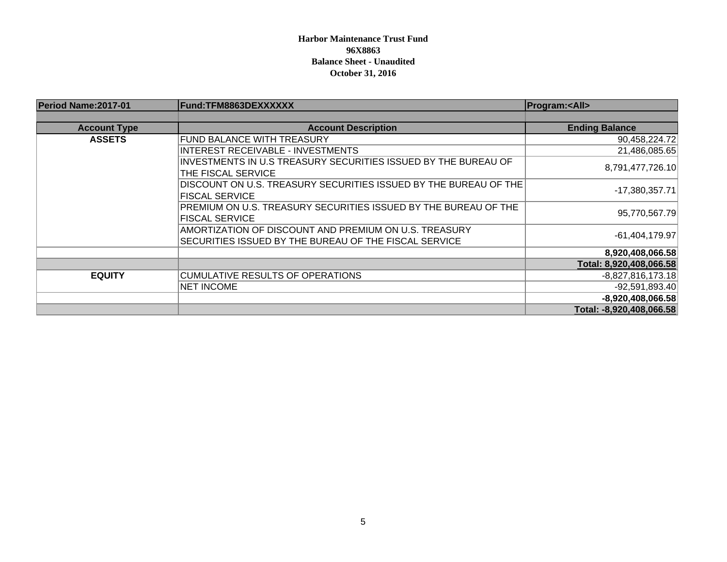### **Harbor Maintenance Trust Fund 96X8863Balance Sheet - Unaudited October 31, 2016**

| Period Name: 2017-01 | Fund:TFM8863DEXXXXXX                                             | <b>Program:<all></all></b> |
|----------------------|------------------------------------------------------------------|----------------------------|
|                      |                                                                  |                            |
| <b>Account Type</b>  | <b>Account Description</b>                                       | <b>Ending Balance</b>      |
| <b>ASSETS</b>        | <b>FUND BALANCE WITH TREASURY</b>                                | 90,458,224.72              |
|                      | <b>INTEREST RECEIVABLE - INVESTMENTS</b>                         | 21,486,085.65              |
|                      | INVESTMENTS IN U.S TREASURY SECURITIES ISSUED BY THE BUREAU OF   |                            |
|                      | THE FISCAL SERVICE                                               | 8,791,477,726.10           |
|                      | DISCOUNT ON U.S. TREASURY SECURITIES ISSUED BY THE BUREAU OF THE | $-17,380,357.71$           |
|                      | <b>FISCAL SERVICE</b>                                            |                            |
|                      | PREMIUM ON U.S. TREASURY SECURITIES ISSUED BY THE BUREAU OF THE  | 95,770,567.79              |
|                      | <b>FISCAL SERVICE</b>                                            |                            |
|                      | AMORTIZATION OF DISCOUNT AND PREMIUM ON U.S. TREASURY            | $-61,404,179.97$           |
|                      | SECURITIES ISSUED BY THE BUREAU OF THE FISCAL SERVICE            |                            |
|                      |                                                                  | 8,920,408,066.58           |
|                      |                                                                  | Total: 8,920,408,066.58    |
| <b>EQUITY</b>        | <b>CUMULATIVE RESULTS OF OPERATIONS</b>                          | $-8,827,816,173.18$        |
|                      | <b>NET INCOME</b>                                                | $-92,591,893.40$           |
|                      |                                                                  | $-8,920,408,066.58$        |
|                      |                                                                  | Total: -8,920,408,066.58   |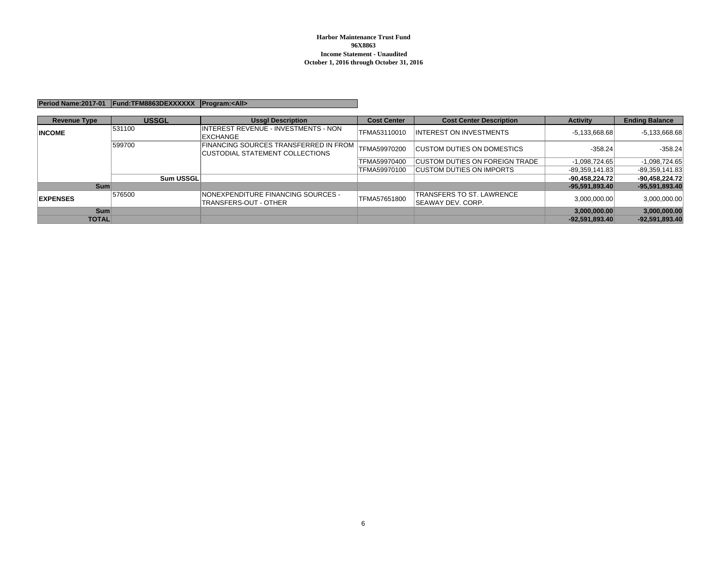#### **Period Name:2017-01 Fund:TFM8863DEXXXXXX Program:<All>**

| <b>Revenue Type</b> | <b>USSGL</b>     | <b>Ussgl Description</b>                                                               | <b>Cost Center</b> | <b>Cost Center Description</b>                         | <b>Activity</b>  | <b>Ending Balance</b> |
|---------------------|------------------|----------------------------------------------------------------------------------------|--------------------|--------------------------------------------------------|------------------|-----------------------|
| <b>INCOME</b>       | 531100           | <b>INTEREST REVENUE - INVESTMENTS - NON</b><br><b>EXCHANGE</b>                         | TFMA53110010       | <b>INTEREST ON INVESTMENTS</b>                         | $-5,133,668.68$  | $-5,133,668.68$       |
|                     | 599700           | <b>FINANCING SOURCES TRANSFERRED IN FROM</b><br><b>CUSTODIAL STATEMENT COLLECTIONS</b> | ITFMA59970200      | <b>CUSTOM DUTIES ON DOMESTICS</b>                      | $-358.24$        | $-358.24$             |
|                     |                  |                                                                                        | TFMA59970400       | <b>CUSTOM DUTIES ON FOREIGN TRADE</b>                  | $-1,098,724.65$  | $-1,098,724.65$       |
|                     |                  |                                                                                        | TFMA59970100       | <b>CUSTOM DUTIES ON IMPORTS</b>                        | -89.359.141.83   | $-89,359,141.83$      |
|                     | <b>Sum USSGL</b> |                                                                                        |                    |                                                        | $-90,458,224.72$ | $-90,458,224.72$      |
| <b>Sum</b>          |                  |                                                                                        |                    |                                                        | $-95,591,893.40$ | -95,591,893.40        |
| <b>EXPENSES</b>     | 576500           | <b>INONEXPENDITURE FINANCING SOURCES -</b><br>TRANSFERS-OUT - OTHER                    | TFMA57651800       | TRANSFERS TO ST. LAWRENCE<br><b>ISEAWAY DEV. CORP.</b> | 3,000,000.00     | 3,000,000.00          |
| <b>Sum</b>          |                  |                                                                                        |                    |                                                        | 3,000,000.00     | 3,000,000.00          |
| <b>TOTAL</b>        |                  |                                                                                        |                    |                                                        | $-92.591.893.40$ | $-92.591.893.40$      |